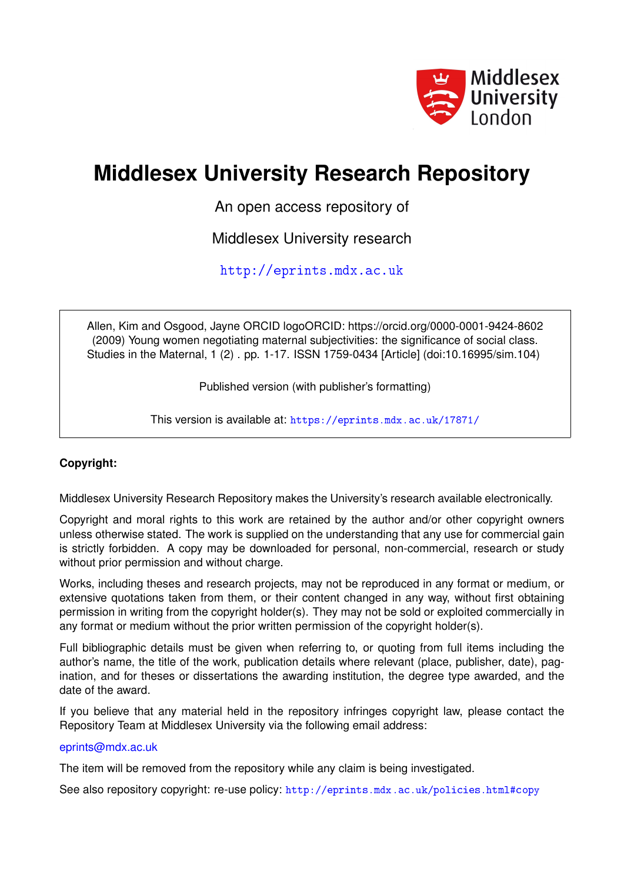

# **Middlesex University Research Repository**

An open access repository of

Middlesex University research

<http://eprints.mdx.ac.uk>

Allen, Kim and Osgood, Jayne ORCID logoORCID: https://orcid.org/0000-0001-9424-8602 (2009) Young women negotiating maternal subjectivities: the significance of social class. Studies in the Maternal, 1 (2) . pp. 1-17. ISSN 1759-0434 [Article] (doi:10.16995/sim.104)

Published version (with publisher's formatting)

This version is available at: <https://eprints.mdx.ac.uk/17871/>

## **Copyright:**

Middlesex University Research Repository makes the University's research available electronically.

Copyright and moral rights to this work are retained by the author and/or other copyright owners unless otherwise stated. The work is supplied on the understanding that any use for commercial gain is strictly forbidden. A copy may be downloaded for personal, non-commercial, research or study without prior permission and without charge.

Works, including theses and research projects, may not be reproduced in any format or medium, or extensive quotations taken from them, or their content changed in any way, without first obtaining permission in writing from the copyright holder(s). They may not be sold or exploited commercially in any format or medium without the prior written permission of the copyright holder(s).

Full bibliographic details must be given when referring to, or quoting from full items including the author's name, the title of the work, publication details where relevant (place, publisher, date), pagination, and for theses or dissertations the awarding institution, the degree type awarded, and the date of the award.

If you believe that any material held in the repository infringes copyright law, please contact the Repository Team at Middlesex University via the following email address:

## [eprints@mdx.ac.uk](mailto:eprints@mdx.ac.uk)

The item will be removed from the repository while any claim is being investigated.

See also repository copyright: re-use policy: <http://eprints.mdx.ac.uk/policies.html#copy>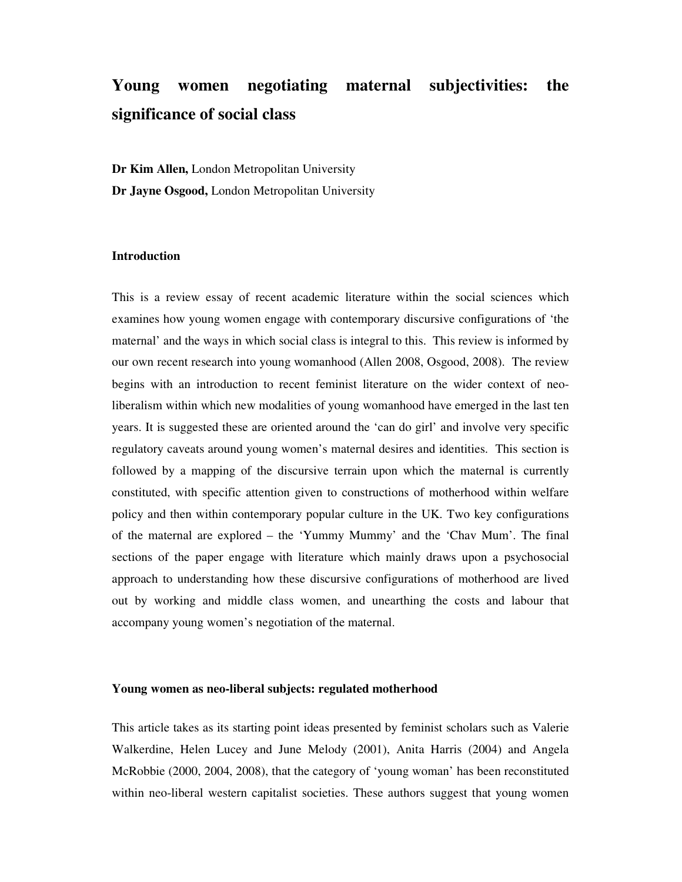## **Young women negotiating maternal subjectivities: the significance of social class**

**Dr Kim Allen,** London Metropolitan University **Dr Jayne Osgood,** London Metropolitan University

### **Introduction**

This is a review essay of recent academic literature within the social sciences which examines how young women engage with contemporary discursive configurations of 'the maternal' and the ways in which social class is integral to this. This review is informed by our own recent research into young womanhood (Allen 2008, Osgood, 2008). The review begins with an introduction to recent feminist literature on the wider context of neoliberalism within which new modalities of young womanhood have emerged in the last ten years. It is suggested these are oriented around the 'can do girl' and involve very specific regulatory caveats around young women's maternal desires and identities. This section is followed by a mapping of the discursive terrain upon which the maternal is currently constituted, with specific attention given to constructions of motherhood within welfare policy and then within contemporary popular culture in the UK. Two key configurations of the maternal are explored – the 'Yummy Mummy' and the 'Chav Mum'. The final sections of the paper engage with literature which mainly draws upon a psychosocial approach to understanding how these discursive configurations of motherhood are lived out by working and middle class women, and unearthing the costs and labour that accompany young women's negotiation of the maternal.

#### **Young women as neo-liberal subjects: regulated motherhood**

This article takes as its starting point ideas presented by feminist scholars such as Valerie Walkerdine, Helen Lucey and June Melody (2001), Anita Harris (2004) and Angela McRobbie (2000, 2004, 2008), that the category of 'young woman' has been reconstituted within neo-liberal western capitalist societies. These authors suggest that young women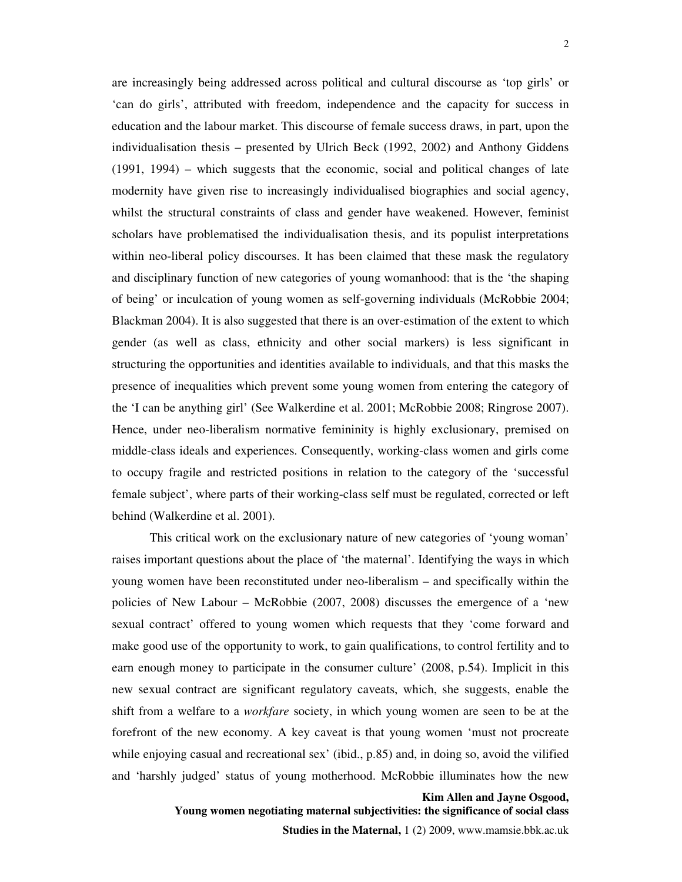are increasingly being addressed across political and cultural discourse as 'top girls' or 'can do girls', attributed with freedom, independence and the capacity for success in education and the labour market. This discourse of female success draws, in part, upon the individualisation thesis – presented by Ulrich Beck (1992, 2002) and Anthony Giddens (1991, 1994) – which suggests that the economic, social and political changes of late modernity have given rise to increasingly individualised biographies and social agency, whilst the structural constraints of class and gender have weakened. However, feminist scholars have problematised the individualisation thesis, and its populist interpretations within neo-liberal policy discourses. It has been claimed that these mask the regulatory and disciplinary function of new categories of young womanhood: that is the 'the shaping of being' or inculcation of young women as self-governing individuals (McRobbie 2004; Blackman 2004). It is also suggested that there is an over-estimation of the extent to which gender (as well as class, ethnicity and other social markers) is less significant in structuring the opportunities and identities available to individuals, and that this masks the presence of inequalities which prevent some young women from entering the category of the 'I can be anything girl' (See Walkerdine et al. 2001; McRobbie 2008; Ringrose 2007). Hence, under neo-liberalism normative femininity is highly exclusionary, premised on middle-class ideals and experiences. Consequently, working-class women and girls come to occupy fragile and restricted positions in relation to the category of the 'successful female subject', where parts of their working-class self must be regulated, corrected or left behind (Walkerdine et al. 2001).

This critical work on the exclusionary nature of new categories of 'young woman' raises important questions about the place of 'the maternal'. Identifying the ways in which young women have been reconstituted under neo-liberalism – and specifically within the policies of New Labour – McRobbie (2007, 2008) discusses the emergence of a 'new sexual contract' offered to young women which requests that they 'come forward and make good use of the opportunity to work, to gain qualifications, to control fertility and to earn enough money to participate in the consumer culture' (2008, p.54). Implicit in this new sexual contract are significant regulatory caveats, which, she suggests, enable the shift from a welfare to a *workfare* society, in which young women are seen to be at the forefront of the new economy. A key caveat is that young women 'must not procreate while enjoying casual and recreational sex' (ibid., p.85) and, in doing so, avoid the vilified and 'harshly judged' status of young motherhood. McRobbie illuminates how the new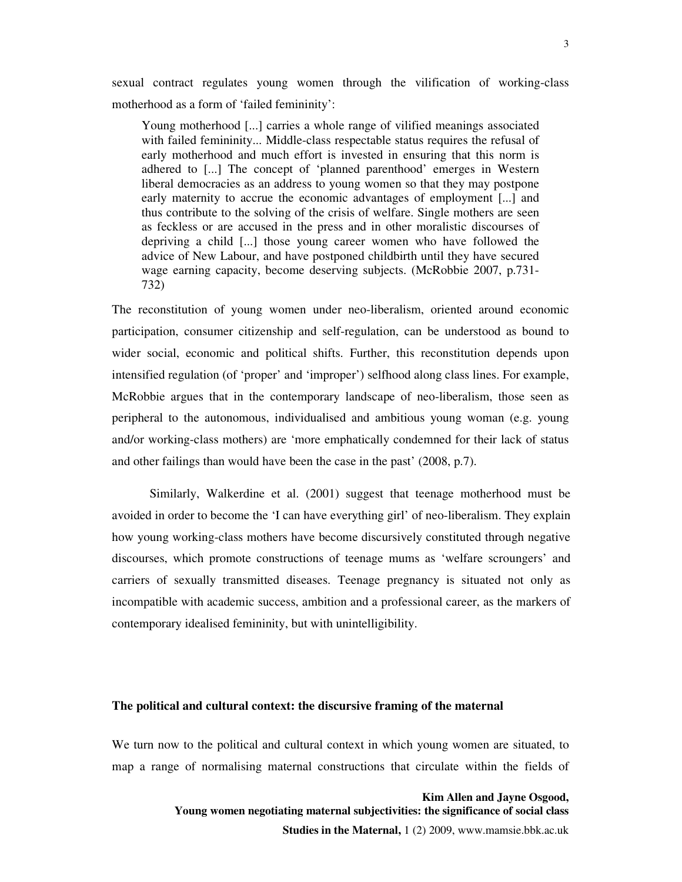sexual contract regulates young women through the vilification of working-class motherhood as a form of 'failed femininity':

Young motherhood [...] carries a whole range of vilified meanings associated with failed femininity... Middle-class respectable status requires the refusal of early motherhood and much effort is invested in ensuring that this norm is adhered to [...] The concept of 'planned parenthood' emerges in Western liberal democracies as an address to young women so that they may postpone early maternity to accrue the economic advantages of employment [...] and thus contribute to the solving of the crisis of welfare. Single mothers are seen as feckless or are accused in the press and in other moralistic discourses of depriving a child [...] those young career women who have followed the advice of New Labour, and have postponed childbirth until they have secured wage earning capacity, become deserving subjects. (McRobbie 2007, p.731- 732)

The reconstitution of young women under neo-liberalism, oriented around economic participation, consumer citizenship and self-regulation, can be understood as bound to wider social, economic and political shifts. Further, this reconstitution depends upon intensified regulation (of 'proper' and 'improper') selfhood along class lines. For example, McRobbie argues that in the contemporary landscape of neo-liberalism, those seen as peripheral to the autonomous, individualised and ambitious young woman (e.g. young and/or working-class mothers) are 'more emphatically condemned for their lack of status and other failings than would have been the case in the past' (2008, p.7).

 Similarly, Walkerdine et al. (2001) suggest that teenage motherhood must be avoided in order to become the 'I can have everything girl' of neo-liberalism. They explain how young working-class mothers have become discursively constituted through negative discourses, which promote constructions of teenage mums as 'welfare scroungers' and carriers of sexually transmitted diseases. Teenage pregnancy is situated not only as incompatible with academic success, ambition and a professional career, as the markers of contemporary idealised femininity, but with unintelligibility.

#### **The political and cultural context: the discursive framing of the maternal**

We turn now to the political and cultural context in which young women are situated, to map a range of normalising maternal constructions that circulate within the fields of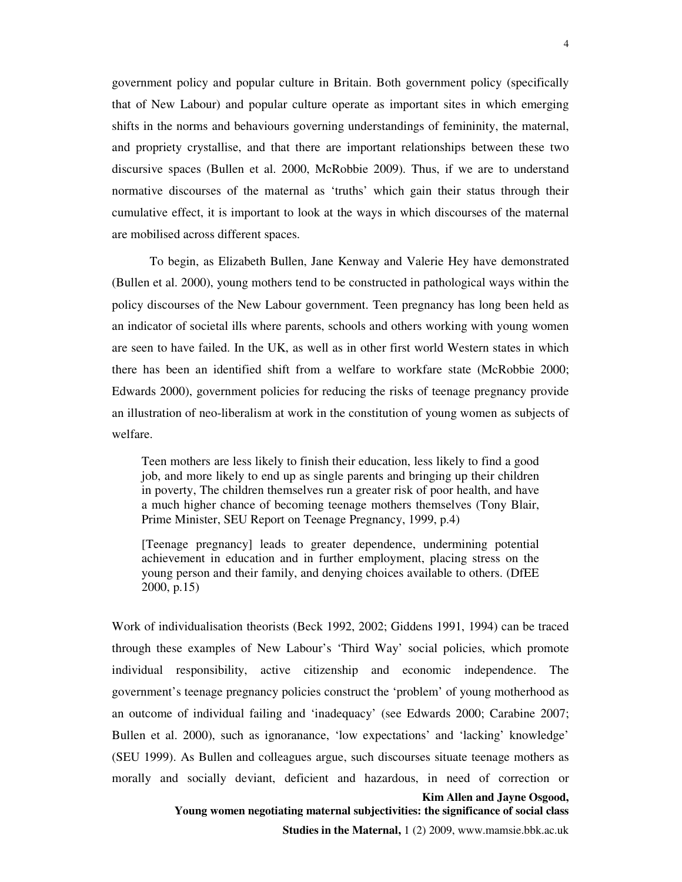government policy and popular culture in Britain. Both government policy (specifically that of New Labour) and popular culture operate as important sites in which emerging shifts in the norms and behaviours governing understandings of femininity, the maternal, and propriety crystallise, and that there are important relationships between these two discursive spaces (Bullen et al. 2000, McRobbie 2009). Thus, if we are to understand normative discourses of the maternal as 'truths' which gain their status through their cumulative effect, it is important to look at the ways in which discourses of the maternal are mobilised across different spaces.

To begin, as Elizabeth Bullen, Jane Kenway and Valerie Hey have demonstrated (Bullen et al. 2000), young mothers tend to be constructed in pathological ways within the policy discourses of the New Labour government. Teen pregnancy has long been held as an indicator of societal ills where parents, schools and others working with young women are seen to have failed. In the UK, as well as in other first world Western states in which there has been an identified shift from a welfare to workfare state (McRobbie 2000; Edwards 2000), government policies for reducing the risks of teenage pregnancy provide an illustration of neo-liberalism at work in the constitution of young women as subjects of welfare.

Teen mothers are less likely to finish their education, less likely to find a good job, and more likely to end up as single parents and bringing up their children in poverty, The children themselves run a greater risk of poor health, and have a much higher chance of becoming teenage mothers themselves (Tony Blair, Prime Minister, SEU Report on Teenage Pregnancy, 1999, p.4)

[Teenage pregnancy] leads to greater dependence, undermining potential achievement in education and in further employment, placing stress on the young person and their family, and denying choices available to others. (DfEE 2000, p.15)

**Kim Allen and Jayne Osgood,**  Work of individualisation theorists (Beck 1992, 2002; Giddens 1991, 1994) can be traced through these examples of New Labour's 'Third Way' social policies, which promote individual responsibility, active citizenship and economic independence. The government's teenage pregnancy policies construct the 'problem' of young motherhood as an outcome of individual failing and 'inadequacy' (see Edwards 2000; Carabine 2007; Bullen et al. 2000), such as ignoranance, 'low expectations' and 'lacking' knowledge' (SEU 1999). As Bullen and colleagues argue, such discourses situate teenage mothers as morally and socially deviant, deficient and hazardous, in need of correction or

 **Young women negotiating maternal subjectivities: the significance of social class** 

**Studies in the Maternal,** 1 (2) 2009, www.mamsie.bbk.ac.uk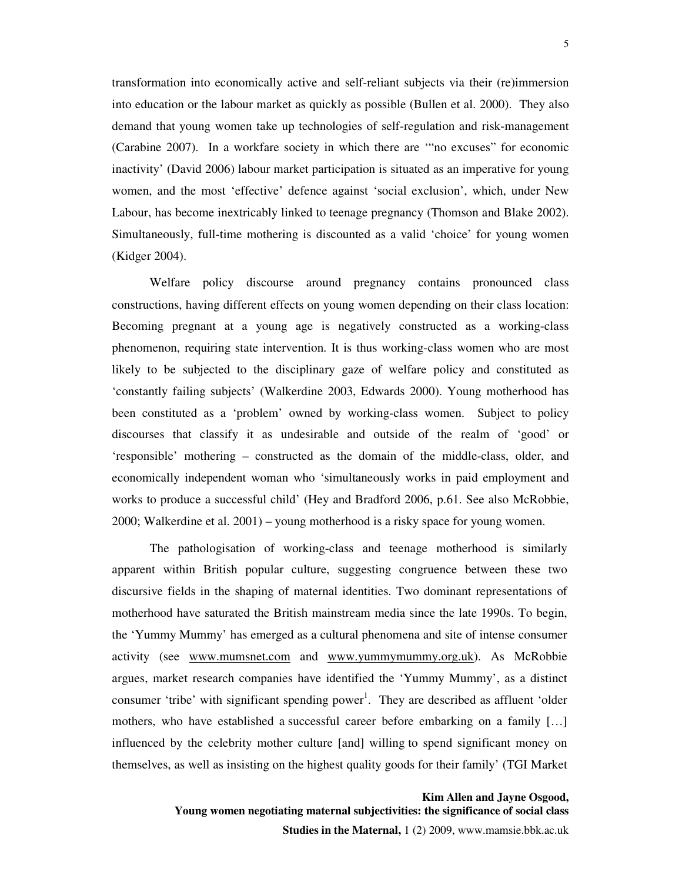transformation into economically active and self-reliant subjects via their (re)immersion into education or the labour market as quickly as possible (Bullen et al. 2000). They also demand that young women take up technologies of self-regulation and risk-management (Carabine 2007). In a workfare society in which there are '"no excuses" for economic inactivity' (David 2006) labour market participation is situated as an imperative for young women, and the most 'effective' defence against 'social exclusion', which, under New Labour, has become inextricably linked to teenage pregnancy (Thomson and Blake 2002). Simultaneously, full-time mothering is discounted as a valid 'choice' for young women (Kidger 2004).

Welfare policy discourse around pregnancy contains pronounced class constructions, having different effects on young women depending on their class location: Becoming pregnant at a young age is negatively constructed as a working-class phenomenon, requiring state intervention. It is thus working-class women who are most likely to be subjected to the disciplinary gaze of welfare policy and constituted as 'constantly failing subjects' (Walkerdine 2003, Edwards 2000). Young motherhood has been constituted as a 'problem' owned by working-class women. Subject to policy discourses that classify it as undesirable and outside of the realm of 'good' or 'responsible' mothering – constructed as the domain of the middle-class, older, and economically independent woman who 'simultaneously works in paid employment and works to produce a successful child' (Hey and Bradford 2006, p.61. See also McRobbie, 2000; Walkerdine et al. 2001) – young motherhood is a risky space for young women.

The pathologisation of working-class and teenage motherhood is similarly apparent within British popular culture, suggesting congruence between these two discursive fields in the shaping of maternal identities. Two dominant representations of motherhood have saturated the British mainstream media since the late 1990s. To begin, the 'Yummy Mummy' has emerged as a cultural phenomena and site of intense consumer activity (see www.mumsnet.com and www.yummymummy.org.uk). As McRobbie argues, market research companies have identified the 'Yummy Mummy', as a distinct consumer 'tribe' with significant spending power<sup>1</sup>. They are described as affluent 'older mothers, who have established a successful career before embarking on a family […] influenced by the celebrity mother culture [and] willing to spend significant money on themselves, as well as insisting on the highest quality goods for their family' (TGI Market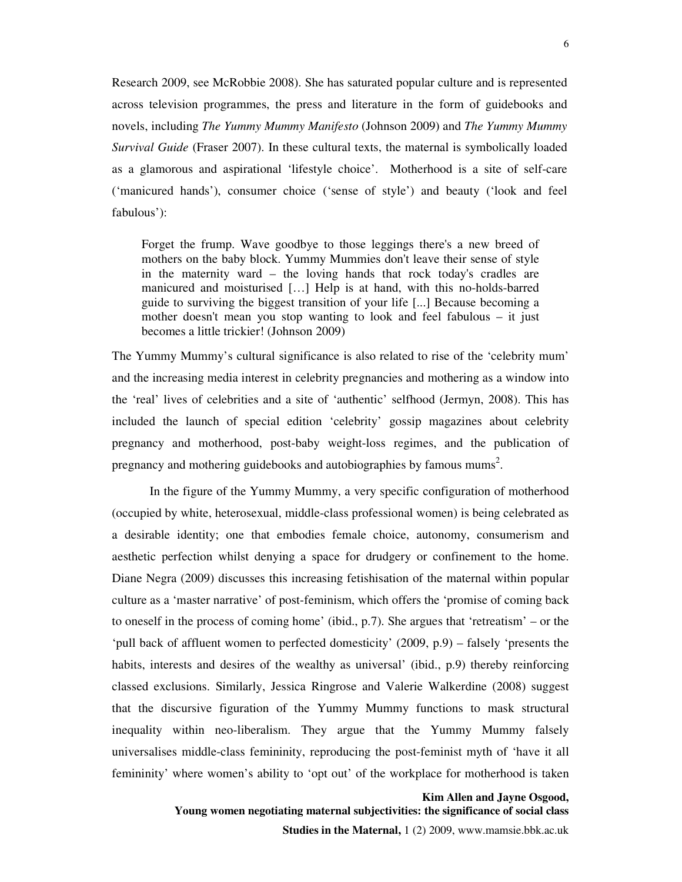Research 2009, see McRobbie 2008). She has saturated popular culture and is represented across television programmes, the press and literature in the form of guidebooks and novels, including *The Yummy Mummy Manifesto* (Johnson 2009) and *The Yummy Mummy Survival Guide* (Fraser 2007). In these cultural texts, the maternal is symbolically loaded as a glamorous and aspirational 'lifestyle choice'. Motherhood is a site of self-care ('manicured hands'), consumer choice ('sense of style') and beauty ('look and feel fabulous'):

Forget the frump. Wave goodbye to those leggings there's a new breed of mothers on the baby block. Yummy Mummies don't leave their sense of style in the maternity ward – the loving hands that rock today's cradles are manicured and moisturised […] Help is at hand, with this no-holds-barred guide to surviving the biggest transition of your life [...] Because becoming a mother doesn't mean you stop wanting to look and feel fabulous – it just becomes a little trickier! (Johnson 2009)

The Yummy Mummy's cultural significance is also related to rise of the 'celebrity mum' and the increasing media interest in celebrity pregnancies and mothering as a window into the 'real' lives of celebrities and a site of 'authentic' selfhood (Jermyn, 2008). This has included the launch of special edition 'celebrity' gossip magazines about celebrity pregnancy and motherhood, post-baby weight-loss regimes, and the publication of pregnancy and mothering guidebooks and autobiographies by famous mums<sup>2</sup>.

In the figure of the Yummy Mummy, a very specific configuration of motherhood (occupied by white, heterosexual, middle-class professional women) is being celebrated as a desirable identity; one that embodies female choice, autonomy, consumerism and aesthetic perfection whilst denying a space for drudgery or confinement to the home. Diane Negra (2009) discusses this increasing fetishisation of the maternal within popular culture as a 'master narrative' of post-feminism, which offers the 'promise of coming back to oneself in the process of coming home' (ibid., p.7). She argues that 'retreatism' – or the 'pull back of affluent women to perfected domesticity' (2009, p.9) – falsely 'presents the habits, interests and desires of the wealthy as universal' (ibid., p.9) thereby reinforcing classed exclusions. Similarly, Jessica Ringrose and Valerie Walkerdine (2008) suggest that the discursive figuration of the Yummy Mummy functions to mask structural inequality within neo-liberalism. They argue that the Yummy Mummy falsely universalises middle-class femininity, reproducing the post-feminist myth of 'have it all femininity' where women's ability to 'opt out' of the workplace for motherhood is taken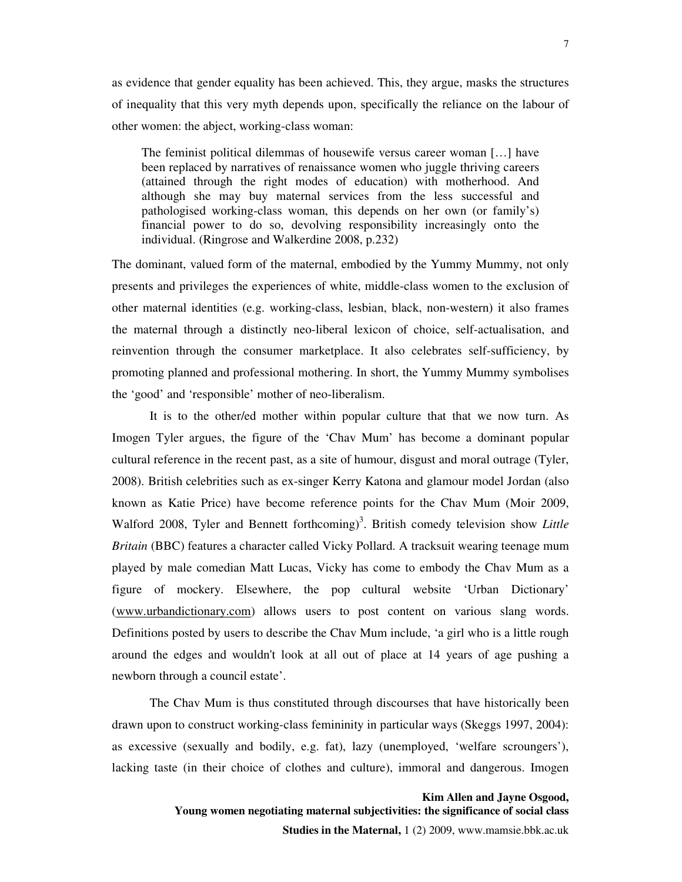as evidence that gender equality has been achieved. This, they argue, masks the structures of inequality that this very myth depends upon, specifically the reliance on the labour of other women: the abject, working-class woman:

The feminist political dilemmas of housewife versus career woman […] have been replaced by narratives of renaissance women who juggle thriving careers (attained through the right modes of education) with motherhood. And although she may buy maternal services from the less successful and pathologised working-class woman, this depends on her own (or family's) financial power to do so, devolving responsibility increasingly onto the individual. (Ringrose and Walkerdine 2008, p.232)

The dominant, valued form of the maternal, embodied by the Yummy Mummy, not only presents and privileges the experiences of white, middle-class women to the exclusion of other maternal identities (e.g. working-class, lesbian, black, non-western) it also frames the maternal through a distinctly neo-liberal lexicon of choice, self-actualisation, and reinvention through the consumer marketplace. It also celebrates self-sufficiency, by promoting planned and professional mothering. In short, the Yummy Mummy symbolises the 'good' and 'responsible' mother of neo-liberalism.

It is to the other/ed mother within popular culture that that we now turn. As Imogen Tyler argues, the figure of the 'Chav Mum' has become a dominant popular cultural reference in the recent past, as a site of humour, disgust and moral outrage (Tyler, 2008). British celebrities such as ex-singer Kerry Katona and glamour model Jordan (also known as Katie Price) have become reference points for the Chav Mum (Moir 2009, Walford 2008, Tyler and Bennett forthcoming)<sup>3</sup>. British comedy television show *Little Britain* (BBC) features a character called Vicky Pollard. A tracksuit wearing teenage mum played by male comedian Matt Lucas, Vicky has come to embody the Chav Mum as a figure of mockery. Elsewhere, the pop cultural website 'Urban Dictionary' (www.urbandictionary.com) allows users to post content on various slang words. Definitions posted by users to describe the Chav Mum include, 'a girl who is a little rough around the edges and wouldn't look at all out of place at 14 years of age pushing a newborn through a council estate'.

The Chav Mum is thus constituted through discourses that have historically been drawn upon to construct working-class femininity in particular ways (Skeggs 1997, 2004): as excessive (sexually and bodily, e.g. fat), lazy (unemployed, 'welfare scroungers'), lacking taste (in their choice of clothes and culture), immoral and dangerous. Imogen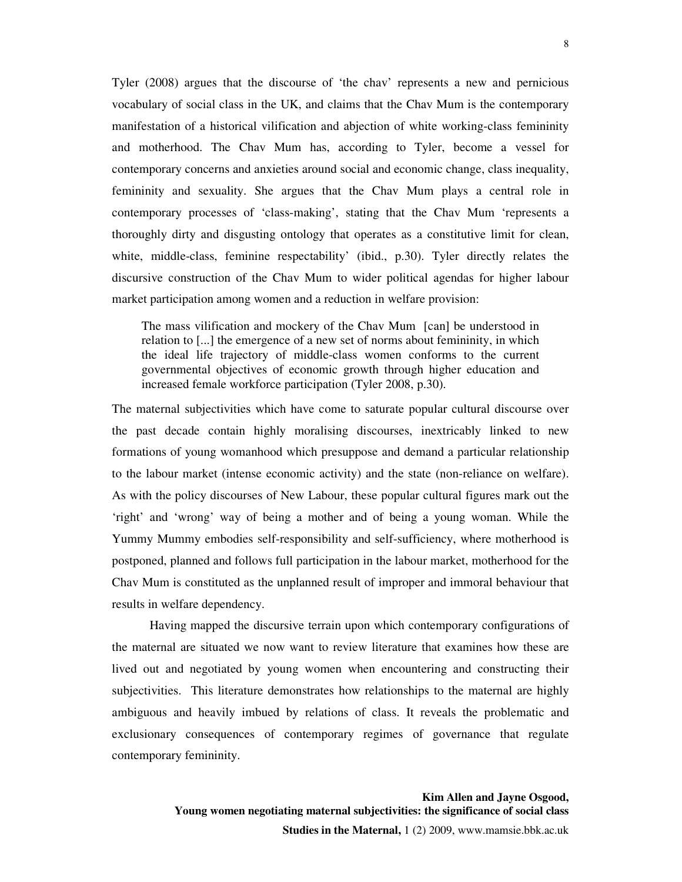Tyler (2008) argues that the discourse of 'the chav' represents a new and pernicious vocabulary of social class in the UK, and claims that the Chav Mum is the contemporary manifestation of a historical vilification and abjection of white working-class femininity and motherhood. The Chav Mum has, according to Tyler, become a vessel for contemporary concerns and anxieties around social and economic change, class inequality, femininity and sexuality. She argues that the Chav Mum plays a central role in contemporary processes of 'class-making', stating that the Chav Mum 'represents a thoroughly dirty and disgusting ontology that operates as a constitutive limit for clean, white, middle-class, feminine respectability' (ibid., p.30). Tyler directly relates the discursive construction of the Chav Mum to wider political agendas for higher labour market participation among women and a reduction in welfare provision:

The mass vilification and mockery of the Chav Mum [can] be understood in relation to [...] the emergence of a new set of norms about femininity, in which the ideal life trajectory of middle-class women conforms to the current governmental objectives of economic growth through higher education and increased female workforce participation (Tyler 2008, p.30).

The maternal subjectivities which have come to saturate popular cultural discourse over the past decade contain highly moralising discourses, inextricably linked to new formations of young womanhood which presuppose and demand a particular relationship to the labour market (intense economic activity) and the state (non-reliance on welfare). As with the policy discourses of New Labour, these popular cultural figures mark out the 'right' and 'wrong' way of being a mother and of being a young woman. While the Yummy Mummy embodies self-responsibility and self-sufficiency, where motherhood is postponed, planned and follows full participation in the labour market, motherhood for the Chav Mum is constituted as the unplanned result of improper and immoral behaviour that results in welfare dependency.

Having mapped the discursive terrain upon which contemporary configurations of the maternal are situated we now want to review literature that examines how these are lived out and negotiated by young women when encountering and constructing their subjectivities. This literature demonstrates how relationships to the maternal are highly ambiguous and heavily imbued by relations of class. It reveals the problematic and exclusionary consequences of contemporary regimes of governance that regulate contemporary femininity.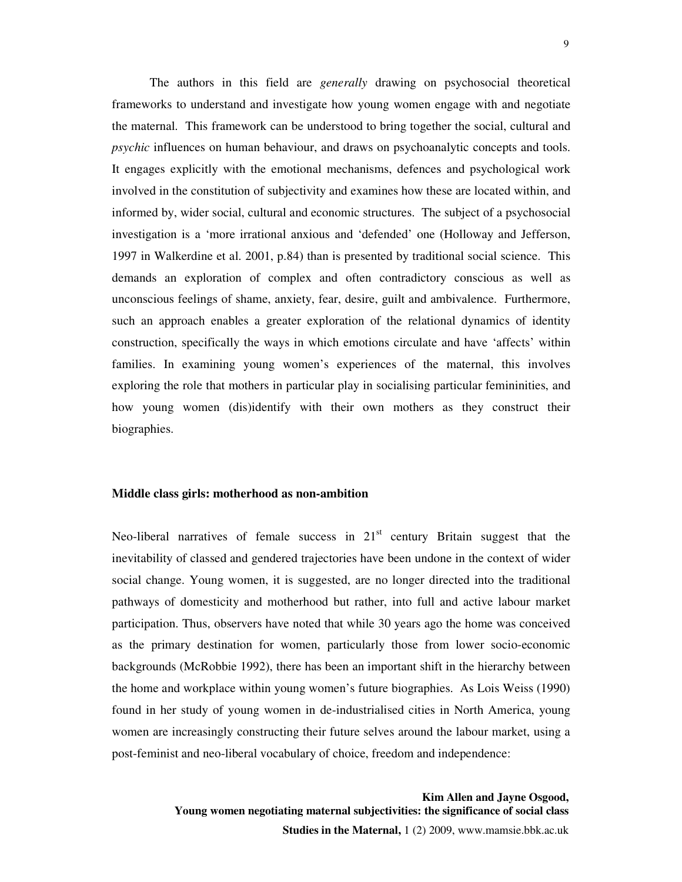The authors in this field are *generally* drawing on psychosocial theoretical frameworks to understand and investigate how young women engage with and negotiate the maternal. This framework can be understood to bring together the social, cultural and *psychic* influences on human behaviour, and draws on psychoanalytic concepts and tools. It engages explicitly with the emotional mechanisms, defences and psychological work involved in the constitution of subjectivity and examines how these are located within, and informed by, wider social, cultural and economic structures. The subject of a psychosocial investigation is a 'more irrational anxious and 'defended' one (Holloway and Jefferson, 1997 in Walkerdine et al. 2001, p.84) than is presented by traditional social science. This demands an exploration of complex and often contradictory conscious as well as unconscious feelings of shame, anxiety, fear, desire, guilt and ambivalence. Furthermore, such an approach enables a greater exploration of the relational dynamics of identity construction, specifically the ways in which emotions circulate and have 'affects' within families. In examining young women's experiences of the maternal, this involves exploring the role that mothers in particular play in socialising particular femininities, and how young women (dis)identify with their own mothers as they construct their biographies.

#### **Middle class girls: motherhood as non-ambition**

Neo-liberal narratives of female success in  $21<sup>st</sup>$  century Britain suggest that the inevitability of classed and gendered trajectories have been undone in the context of wider social change. Young women, it is suggested, are no longer directed into the traditional pathways of domesticity and motherhood but rather, into full and active labour market participation. Thus, observers have noted that while 30 years ago the home was conceived as the primary destination for women, particularly those from lower socio-economic backgrounds (McRobbie 1992), there has been an important shift in the hierarchy between the home and workplace within young women's future biographies. As Lois Weiss (1990) found in her study of young women in de-industrialised cities in North America, young women are increasingly constructing their future selves around the labour market, using a post-feminist and neo-liberal vocabulary of choice, freedom and independence: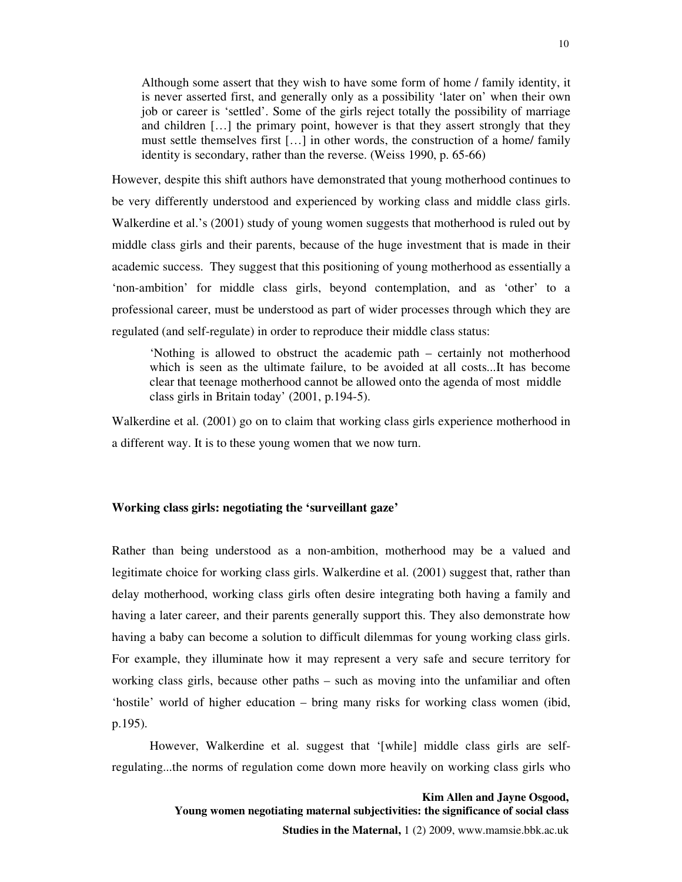Although some assert that they wish to have some form of home / family identity, it is never asserted first, and generally only as a possibility 'later on' when their own job or career is 'settled'. Some of the girls reject totally the possibility of marriage and children […] the primary point, however is that they assert strongly that they must settle themselves first […] in other words, the construction of a home/ family identity is secondary, rather than the reverse. (Weiss 1990, p. 65-66)

However, despite this shift authors have demonstrated that young motherhood continues to be very differently understood and experienced by working class and middle class girls. Walkerdine et al.'s (2001) study of young women suggests that motherhood is ruled out by middle class girls and their parents, because of the huge investment that is made in their academic success. They suggest that this positioning of young motherhood as essentially a 'non-ambition' for middle class girls, beyond contemplation, and as 'other' to a professional career, must be understood as part of wider processes through which they are regulated (and self-regulate) in order to reproduce their middle class status:

 'Nothing is allowed to obstruct the academic path – certainly not motherhood which is seen as the ultimate failure, to be avoided at all costs...It has become clear that teenage motherhood cannot be allowed onto the agenda of most middle class girls in Britain today' (2001, p.194-5).

Walkerdine et al. (2001) go on to claim that working class girls experience motherhood in a different way. It is to these young women that we now turn.

#### **Working class girls: negotiating the 'surveillant gaze'**

Rather than being understood as a non-ambition, motherhood may be a valued and legitimate choice for working class girls. Walkerdine et al. (2001) suggest that, rather than delay motherhood, working class girls often desire integrating both having a family and having a later career, and their parents generally support this. They also demonstrate how having a baby can become a solution to difficult dilemmas for young working class girls. For example, they illuminate how it may represent a very safe and secure territory for working class girls, because other paths – such as moving into the unfamiliar and often 'hostile' world of higher education – bring many risks for working class women (ibid, p.195).

 However, Walkerdine et al. suggest that '[while] middle class girls are selfregulating...the norms of regulation come down more heavily on working class girls who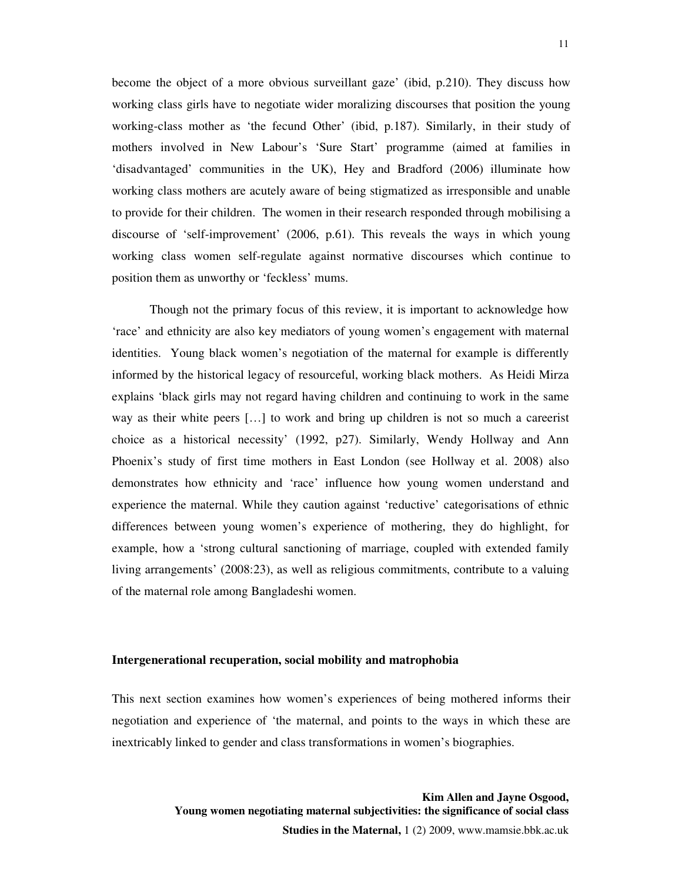become the object of a more obvious surveillant gaze' (ibid, p.210). They discuss how working class girls have to negotiate wider moralizing discourses that position the young working-class mother as 'the fecund Other' (ibid, p.187). Similarly, in their study of mothers involved in New Labour's 'Sure Start' programme (aimed at families in 'disadvantaged' communities in the UK), Hey and Bradford (2006) illuminate how working class mothers are acutely aware of being stigmatized as irresponsible and unable to provide for their children. The women in their research responded through mobilising a discourse of 'self-improvement' (2006, p.61). This reveals the ways in which young working class women self-regulate against normative discourses which continue to position them as unworthy or 'feckless' mums.

 Though not the primary focus of this review, it is important to acknowledge how 'race' and ethnicity are also key mediators of young women's engagement with maternal identities. Young black women's negotiation of the maternal for example is differently informed by the historical legacy of resourceful, working black mothers. As Heidi Mirza explains 'black girls may not regard having children and continuing to work in the same way as their white peers […] to work and bring up children is not so much a careerist choice as a historical necessity' (1992, p27). Similarly, Wendy Hollway and Ann Phoenix's study of first time mothers in East London (see Hollway et al. 2008) also demonstrates how ethnicity and 'race' influence how young women understand and experience the maternal. While they caution against 'reductive' categorisations of ethnic differences between young women's experience of mothering, they do highlight, for example, how a 'strong cultural sanctioning of marriage, coupled with extended family living arrangements' (2008:23), as well as religious commitments, contribute to a valuing of the maternal role among Bangladeshi women.

#### **Intergenerational recuperation, social mobility and matrophobia**

This next section examines how women's experiences of being mothered informs their negotiation and experience of 'the maternal, and points to the ways in which these are inextricably linked to gender and class transformations in women's biographies.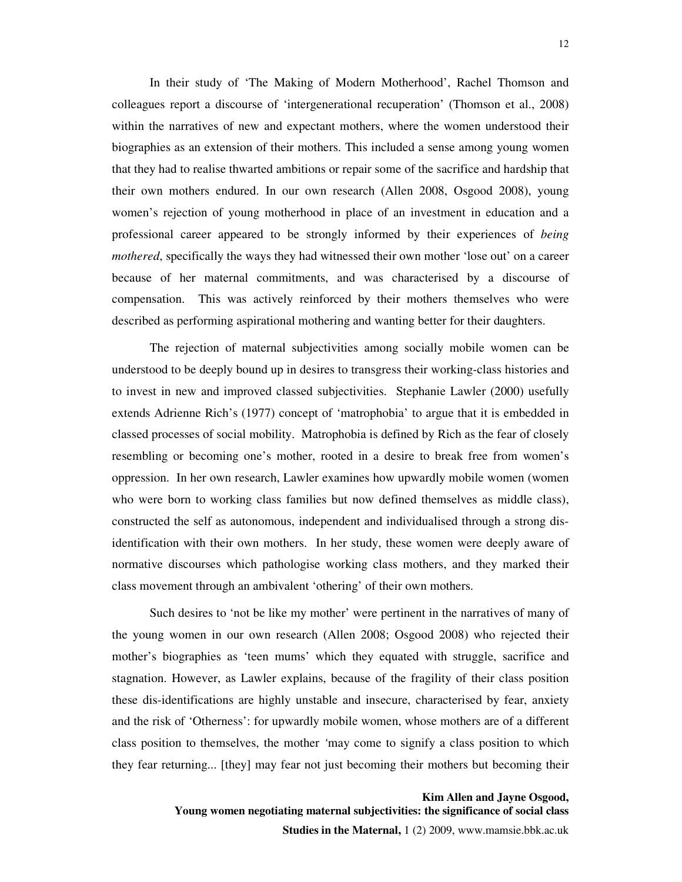In their study of 'The Making of Modern Motherhood', Rachel Thomson and colleagues report a discourse of 'intergenerational recuperation' (Thomson et al., 2008) within the narratives of new and expectant mothers, where the women understood their biographies as an extension of their mothers. This included a sense among young women that they had to realise thwarted ambitions or repair some of the sacrifice and hardship that their own mothers endured. In our own research (Allen 2008, Osgood 2008), young women's rejection of young motherhood in place of an investment in education and a professional career appeared to be strongly informed by their experiences of *being mothered*, specifically the ways they had witnessed their own mother 'lose out' on a career because of her maternal commitments, and was characterised by a discourse of compensation. This was actively reinforced by their mothers themselves who were described as performing aspirational mothering and wanting better for their daughters.

The rejection of maternal subjectivities among socially mobile women can be understood to be deeply bound up in desires to transgress their working-class histories and to invest in new and improved classed subjectivities. Stephanie Lawler (2000) usefully extends Adrienne Rich's (1977) concept of 'matrophobia' to argue that it is embedded in classed processes of social mobility. Matrophobia is defined by Rich as the fear of closely resembling or becoming one's mother, rooted in a desire to break free from women's oppression. In her own research, Lawler examines how upwardly mobile women (women who were born to working class families but now defined themselves as middle class), constructed the self as autonomous, independent and individualised through a strong disidentification with their own mothers. In her study, these women were deeply aware of normative discourses which pathologise working class mothers, and they marked their class movement through an ambivalent 'othering' of their own mothers.

Such desires to 'not be like my mother' were pertinent in the narratives of many of the young women in our own research (Allen 2008; Osgood 2008) who rejected their mother's biographies as 'teen mums' which they equated with struggle, sacrifice and stagnation. However, as Lawler explains, because of the fragility of their class position these dis-identifications are highly unstable and insecure, characterised by fear, anxiety and the risk of 'Otherness': for upwardly mobile women, whose mothers are of a different class position to themselves, the mother *'*may come to signify a class position to which they fear returning... [they] may fear not just becoming their mothers but becoming their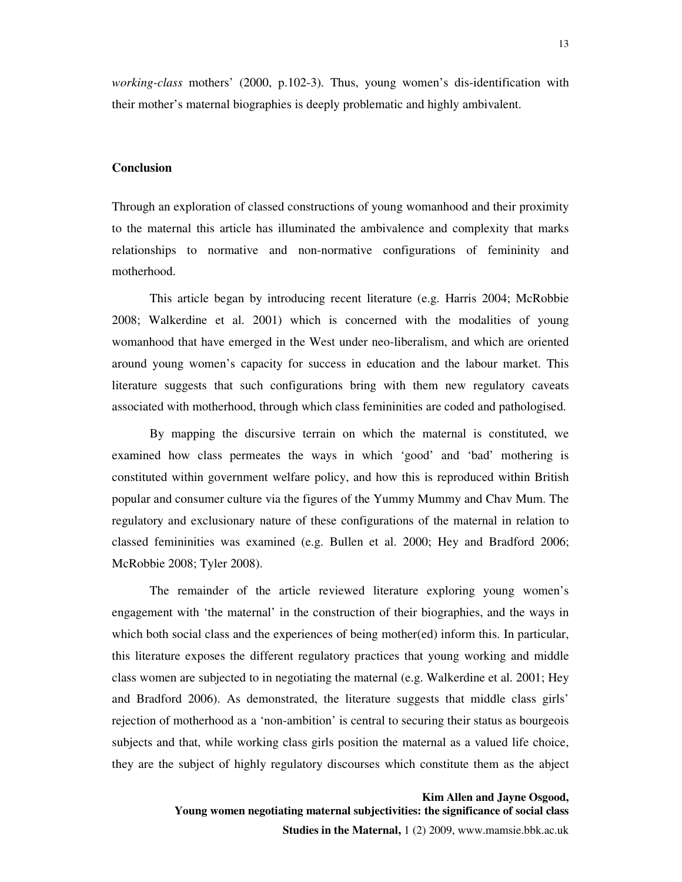*working-class* mothers' (2000, p.102-3). Thus, young women's dis-identification with their mother's maternal biographies is deeply problematic and highly ambivalent.

#### **Conclusion**

Through an exploration of classed constructions of young womanhood and their proximity to the maternal this article has illuminated the ambivalence and complexity that marks relationships to normative and non-normative configurations of femininity and motherhood.

 This article began by introducing recent literature (e.g. Harris 2004; McRobbie 2008; Walkerdine et al. 2001) which is concerned with the modalities of young womanhood that have emerged in the West under neo-liberalism, and which are oriented around young women's capacity for success in education and the labour market. This literature suggests that such configurations bring with them new regulatory caveats associated with motherhood, through which class femininities are coded and pathologised.

 By mapping the discursive terrain on which the maternal is constituted, we examined how class permeates the ways in which 'good' and 'bad' mothering is constituted within government welfare policy, and how this is reproduced within British popular and consumer culture via the figures of the Yummy Mummy and Chav Mum. The regulatory and exclusionary nature of these configurations of the maternal in relation to classed femininities was examined (e.g. Bullen et al. 2000; Hey and Bradford 2006; McRobbie 2008; Tyler 2008).

 The remainder of the article reviewed literature exploring young women's engagement with 'the maternal' in the construction of their biographies, and the ways in which both social class and the experiences of being mother(ed) inform this. In particular, this literature exposes the different regulatory practices that young working and middle class women are subjected to in negotiating the maternal (e.g. Walkerdine et al. 2001; Hey and Bradford 2006). As demonstrated, the literature suggests that middle class girls' rejection of motherhood as a 'non-ambition' is central to securing their status as bourgeois subjects and that, while working class girls position the maternal as a valued life choice, they are the subject of highly regulatory discourses which constitute them as the abject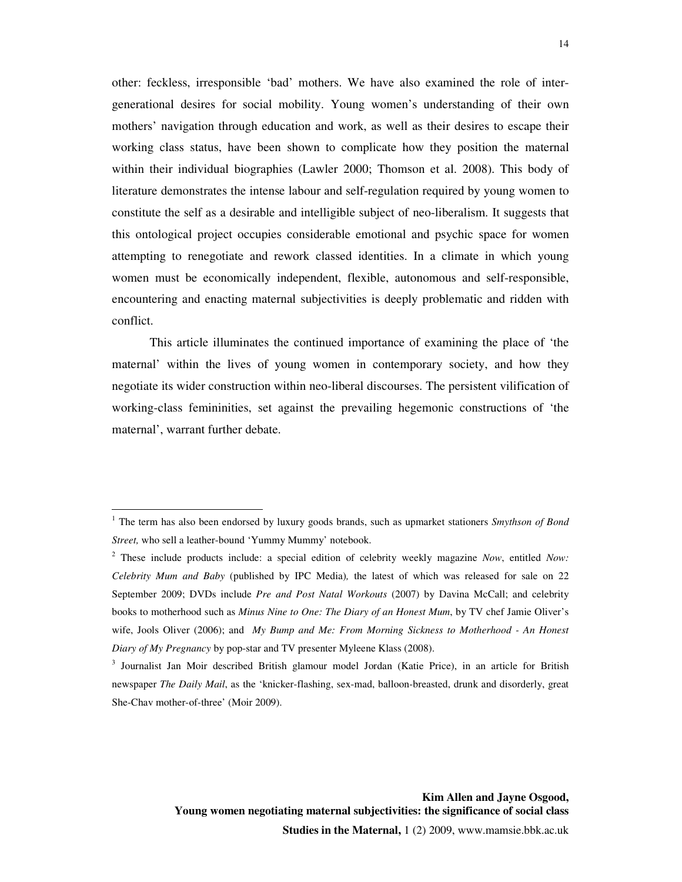other: feckless, irresponsible 'bad' mothers. We have also examined the role of intergenerational desires for social mobility. Young women's understanding of their own mothers' navigation through education and work, as well as their desires to escape their working class status, have been shown to complicate how they position the maternal within their individual biographies (Lawler 2000; Thomson et al. 2008). This body of literature demonstrates the intense labour and self-regulation required by young women to constitute the self as a desirable and intelligible subject of neo-liberalism. It suggests that this ontological project occupies considerable emotional and psychic space for women attempting to renegotiate and rework classed identities. In a climate in which young women must be economically independent, flexible, autonomous and self-responsible, encountering and enacting maternal subjectivities is deeply problematic and ridden with conflict.

 This article illuminates the continued importance of examining the place of 'the maternal' within the lives of young women in contemporary society, and how they negotiate its wider construction within neo-liberal discourses. The persistent vilification of working-class femininities, set against the prevailing hegemonic constructions of 'the maternal', warrant further debate.

 $\overline{a}$ 

<sup>&</sup>lt;sup>1</sup> The term has also been endorsed by luxury goods brands, such as upmarket stationers *Smythson of Bond Street,* who sell a leather-bound 'Yummy Mummy' notebook.

<sup>2</sup> These include products include: a special edition of celebrity weekly magazine *Now*, entitled *Now: Celebrity Mum and Baby* (published by IPC Media)*,* the latest of which was released for sale on 22 September 2009; DVDs include *Pre and Post Natal Workouts* (2007) by Davina McCall; and celebrity books to motherhood such as *Minus Nine to One: The Diary of an Honest Mum*, by TV chef Jamie Oliver's wife, Jools Oliver (2006); and *My Bump and Me: From Morning Sickness to Motherhood - An Honest Diary of My Pregnancy* by pop-star and TV presenter Myleene Klass (2008).

<sup>&</sup>lt;sup>3</sup> Journalist Jan Moir described British glamour model Jordan (Katie Price), in an article for British newspaper *The Daily Mail*, as the 'knicker-flashing, sex-mad, balloon-breasted, drunk and disorderly, great She-Chav mother-of-three' (Moir 2009).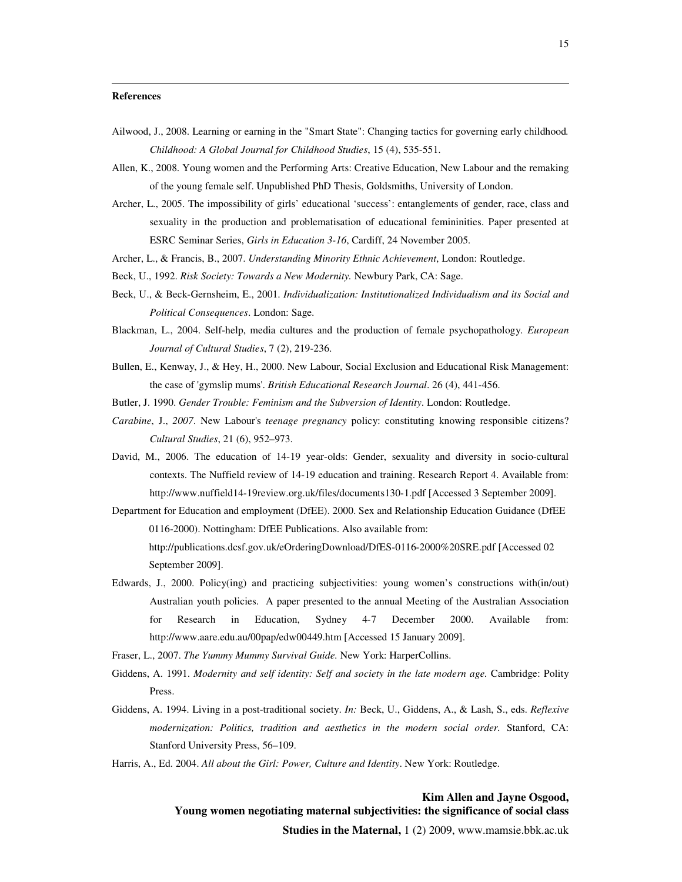#### **References**

 $\overline{a}$ 

- Ailwood, J., 2008. Learning or earning in the "Smart State": Changing tactics for governing early childhood*. Childhood: A Global Journal for Childhood Studies*, 15 (4), 535-551.
- Allen, K., 2008. Young women and the Performing Arts: Creative Education, New Labour and the remaking of the young female self. Unpublished PhD Thesis, Goldsmiths, University of London.
- Archer, L., 2005. The impossibility of girls' educational 'success': entanglements of gender, race, class and sexuality in the production and problematisation of educational femininities. Paper presented at ESRC Seminar Series, *Girls in Education 3-16*, Cardiff, 24 November 2005.
- Archer, L., & Francis, B., 2007. *Understanding Minority Ethnic Achievement*, London: Routledge.
- Beck, U., 1992. *Risk Society: Towards a New Modernity.* Newbury Park, CA: Sage.
- Beck, U., & Beck-Gernsheim, E., 2001. *Individualization: Institutionalized Individualism and its Social and Political Consequences*. London: Sage.
- Blackman, L., 2004. Self-help, media cultures and the production of female psychopathology. *European Journal of Cultural Studies*, 7 (2), 219-236.
- Bullen, E., Kenway, J., & Hey, H., 2000. New Labour, Social Exclusion and Educational Risk Management: the case of 'gymslip mums'. *British Educational Research Journal*. 26 (4), 441-456.
- Butler, J. 1990. *Gender Trouble: Feminism and the Subversion of Identity*. London: Routledge.
- *Carabine*, J., *2007*. New Labour's *teenage pregnancy* policy: constituting knowing responsible citizens? *Cultural Studies*, 21 (6), 952–973.
- David, M., 2006. The education of 14-19 year-olds: Gender, sexuality and diversity in socio-cultural contexts. The Nuffield review of 14-19 education and training. Research Report 4. Available from: http://www.nuffield14-19review.org.uk/files/documents130-1.pdf [Accessed 3 September 2009].
- Department for Education and employment (DfEE). 2000. Sex and Relationship Education Guidance (DfEE 0116-2000). Nottingham: DfEE Publications. Also available from: http://publications.dcsf.gov.uk/eOrderingDownload/DfES-0116-2000%20SRE.pdf [Accessed 02 September 2009].
- Edwards, J., 2000. Policy(ing) and practicing subjectivities: young women's constructions with(in/out) Australian youth policies. A paper presented to the annual Meeting of the Australian Association for Research in Education, Sydney 4-7 December 2000. Available from: http://www.aare.edu.au/00pap/edw00449.htm [Accessed 15 January 2009].

Fraser, L., 2007. *The Yummy Mummy Survival Guide.* New York: HarperCollins.

- Giddens, A. 1991. *Modernity and self identity: Self and society in the late modern age.* Cambridge: Polity Press.
- Giddens, A. 1994. Living in a post-traditional society. *In:* Beck, U., Giddens, A., & Lash, S., eds. *Reflexive modernization: Politics, tradition and aesthetics in the modern social order.* Stanford, CA: Stanford University Press, 56–109.
- Harris, A., Ed. 2004. *All about the Girl: Power, Culture and Identity*. New York: Routledge.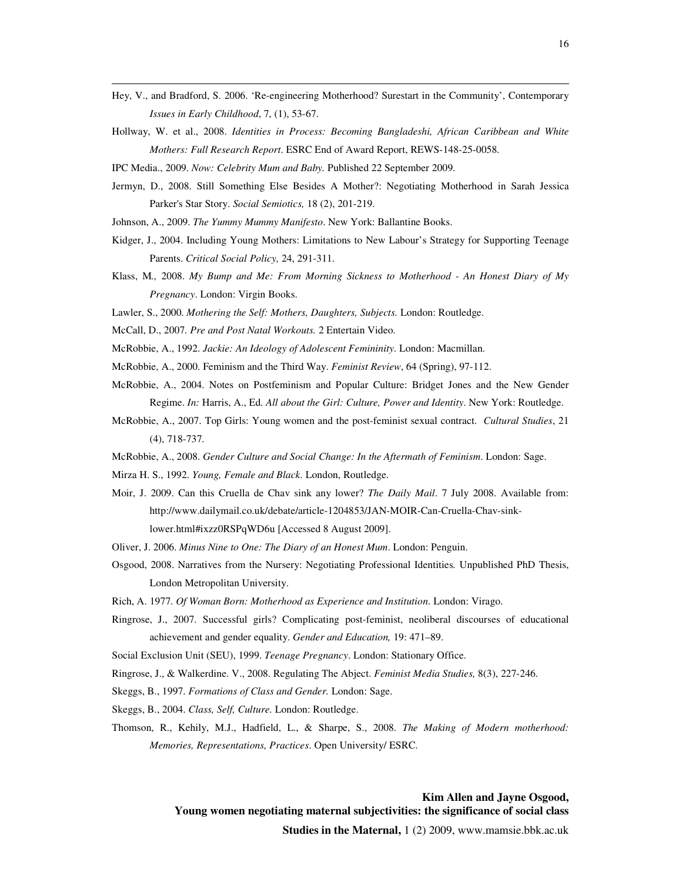- Hey, V., and Bradford, S. 2006. 'Re-engineering Motherhood? Surestart in the Community', Contemporary *Issues in Early Childhood*, 7, (1), 53-67.
- Hollway, W. et al., 2008. *Identities in Process: Becoming Bangladeshi, African Caribbean and White Mothers: Full Research Report*. ESRC End of Award Report, REWS-148-25-0058.

IPC Media., 2009. *Now: Celebrity Mum and Baby.* Published 22 September 2009.

 $\overline{a}$ 

- Jermyn, D., 2008. Still Something Else Besides A Mother?: Negotiating Motherhood in Sarah Jessica Parker's Star Story. *Social Semiotics,* 18 (2), 201-219.
- Johnson, A., 2009. *The Yummy Mummy Manifesto*. New York: Ballantine Books.
- Kidger, J., 2004. Including Young Mothers: Limitations to New Labour's Strategy for Supporting Teenage Parents. *Critical Social Policy,* 24, 291-311.
- Klass, M*.,* 2008. *My Bump and Me: From Morning Sickness to Motherhood An Honest Diary of My Pregnancy*. London: Virgin Books.
- Lawler, S., 2000. *Mothering the Self: Mothers, Daughters, Subjects.* London: Routledge.
- McCall, D., 2007*. Pre and Post Natal Workouts.* 2 Entertain Video.
- McRobbie, A., 1992. *Jackie: An Ideology of Adolescent Femininity*. London: Macmillan.
- McRobbie, A., 2000. Feminism and the Third Way. *Feminist Review*, 64 (Spring), 97-112.
- McRobbie, A., 2004. Notes on Postfeminism and Popular Culture: Bridget Jones and the New Gender Regime. *In:* Harris, A., Ed. *All about the Girl: Culture, Power and Identity*. New York: Routledge.
- McRobbie, A., 2007. Top Girls: Young women and the post-feminist sexual contract. *Cultural Studies*, 21 (4), 718-737.
- McRobbie, A., 2008. *Gender Culture and Social Change: In the Aftermath of Feminism*. London: Sage.
- Mirza H. S., 1992. *Young, Female and Black*. London, Routledge.
- Moir, J. 2009. Can this Cruella de Chav sink any lower? *The Daily Mail*. 7 July 2008. Available from: http://www.dailymail.co.uk/debate/article-1204853/JAN-MOIR-Can-Cruella-Chav-sinklower.html#ixzz0RSPqWD6u [Accessed 8 August 2009].
- Oliver, J. 2006. *Minus Nine to One: The Diary of an Honest Mum*. London: Penguin.
- Osgood, 2008. Narratives from the Nursery: Negotiating Professional Identities*.* Unpublished PhD Thesis, London Metropolitan University.
- Rich, A. 1977. *Of Woman Born: Motherhood as Experience and Institution*. London: Virago.
- Ringrose, J., 2007. Successful girls? Complicating post-feminist, neoliberal discourses of educational achievement and gender equality. *Gender and Education,* 19: 471–89.
- Social Exclusion Unit (SEU), 1999. *Teenage Pregnancy*. London: Stationary Office.
- Ringrose, J., & Walkerdine. V., 2008. Regulating The Abject. *Feminist Media Studies,* 8(3), 227-246.
- Skeggs, B., 1997. *Formations of Class and Gender.* London: Sage.
- Skeggs, B., 2004. *Class, Self, Culture.* London: Routledge.
- Thomson, R., Kehily, M.J., Hadfield, L., & Sharpe, S., 2008. *The Making of Modern motherhood: Memories, Representations, Practices*. Open University/ ESRC.